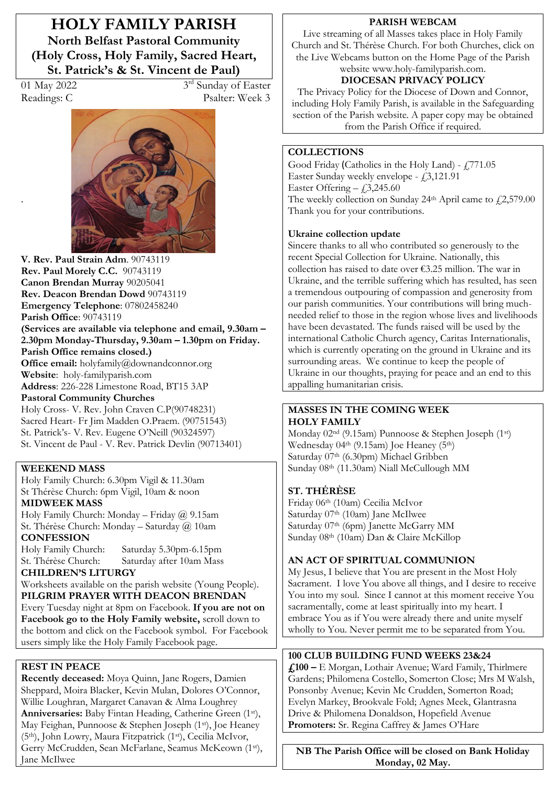**HOLY FAMILY PARISH North Belfast Pastoral Community (Holy Cross, Holy Family, Sacred Heart, St. Patrick's & St. Vincent de Paul)** 

.

01 May 2022 3<sup>rd</sup> Sunday of Easter Readings: C Psalter: Week 3



**V. Rev. Paul Strain Adm**. 90743119 **Rev. Paul Morely C.C.** 90743119 **Canon Brendan Murray** 90205041 **Rev. Deacon Brendan Dowd** 90743119 **Emergency Telephone**: 07802458240 **Parish Office**: 90743119 **(Services are available via telephone and email, 9.30am – 2.30pm Monday-Thursday, 9.30am ² 1.30pm on Friday. Parish Office remains closed.) Office email:** holyfamily@downandconnor.org **Website**: holy-familyparish.com **Address**: 226-228 Limestone Road, BT15 3AP **Pastoral Community Churches** Holy Cross- V. Rev. John Craven C.P(90748231) Sacred Heart- Fr Jim Madden O.Praem. (90751543) St. Patrick's- V. Rev. Eugene O'Neill (90324597) St. Vincent de Paul - V. Rev. Patrick Devlin (90713401)

## **WEEKEND MASS**

Holy Family Church: 6.30pm Vigil & 11.30am St Thérèse Church: 6pm Vigil, 10am & noon **MIDWEEK MASS**

Holy Family Church: Monday - Friday  $@$  9.15am St. Thérèse Church: Monday - Saturday @ 10am **CONFESSION**

Holy Family Church: Saturday 5.30pm-6.15pm St. Thérèse Church: Saturday after 10am Mass

**CHILDREN·S LITURGY**  Worksheets available on the parish website (Young People). **PILGRIM PRAYER WITH DEACON BRENDAN** Every Tuesday night at 8pm on Facebook. **If you are not on Facebook go to the Holy Family website,** scroll down to the bottom and click on the Facebook symbol. For Facebook users simply like the Holy Family Facebook page.

# **REST IN PEACE**

**Recently deceased:** Moya Quinn, Jane Rogers, Damien Sheppard, Moira Blacker, Kevin Mulan, Dolores O'Connor, Willie Loughran, Margaret Canavan & Alma Loughrey **Anniversaries:** Baby Fintan Heading, Catherine Green (1st), May Feighan, Punnoose & Stephen Joseph (1st), Joe Heaney (5th), John Lowry, Maura Fitzpatrick (1st), Cecilia McIvor, Gerry McCrudden, Sean McFarlane, Seamus McKeown (1st), Jane McIlwee

### **PARISH WEBCAM**

Live streaming of all Masses takes place in Holy Family Church and St. Thérèse Church. For both Churches, click on the Live Webcams button on the Home Page of the Parish website www.holy-familyparish.com.

# **DIOCESAN PRIVACY POLICY**

The Privacy Policy for the Diocese of Down and Connor, including Holy Family Parish, is available in the Safeguarding section of the Parish website. A paper copy may be obtained from the Parish Office if required.

## **COLLECTIONS**

Good Friday (Catholics in the Holy Land) -  $\text{\textsterling}771.05$ Easter Sunday weekly envelope  $\{3,121.91$ Easter Offering  $- f3,245.60$ The weekly collection on Sunday 24th April came to  $f(2,579.00)$ Thank you for your contributions.

## **Ukraine collection update**

Sincere thanks to all who contributed so generously to the recent Special Collection for Ukraine. Nationally, this collection has raised to date over  $\epsilon$ 3.25 million. The war in Ukraine, and the terrible suffering which has resulted, has seen a tremendous outpouring of compassion and generosity from our parish communities. Your contributions will bring muchneeded relief to those in the region whose lives and livelihoods have been devastated. The funds raised will be used by the international Catholic Church agency, Caritas Internationalis, which is currently operating on the ground in Ukraine and its surrounding areas. We continue to keep the people of Ukraine in our thoughts, praying for peace and an end to this appalling humanitarian crisis.

## **MASSES IN THE COMING WEEK HOLY FAMILY**

Monday 02nd (9.15am) Punnoose & Stephen Joseph (1st) Wednesday  $04<sup>th</sup>$  (9.15am) Joe Heaney (5<sup>th</sup>) Saturday 07<sup>th</sup> (6.30pm) Michael Gribben Sunday 08th (11.30am) Niall McCullough MM

## **ST. THÉRÈSE**

Friday 06th (10am) Cecilia McIvor Saturday 07<sup>th</sup> (10am) Jane McIlwee Saturday 07<sup>th</sup> (6pm) Janette McGarry MM Sunday 08th (10am) Dan & Claire McKillop

## **AN ACT OF SPIRITUAL COMMUNION**

My Jesus, I believe that You are present in the Most Holy Sacrament. I love You above all things, and I desire to receive You into my soul. Since I cannot at this moment receive You sacramentally, come at least spiritually into my heart. I embrace You as if You were already there and unite myself wholly to You. Never permit me to be separated from You.

## **100 CLUB BUILDING FUND WEEKS 23&24**

**£100 ²** E Morgan, Lothair Avenue; Ward Family, Thirlmere Gardens; Philomena Costello, Somerton Close; Mrs M Walsh, Ponsonby Avenue; Kevin Mc Crudden, Somerton Road; Evelyn Markey, Brookvale Fold; Agnes Meek, Glantrasna Drive & Philomena Donaldson, Hopefield Avenue **Promoters:** Sr. Regina Caffrey & James O'Hare

**NB The Parish Office will be closed on Bank Holiday Monday, 02 May.**